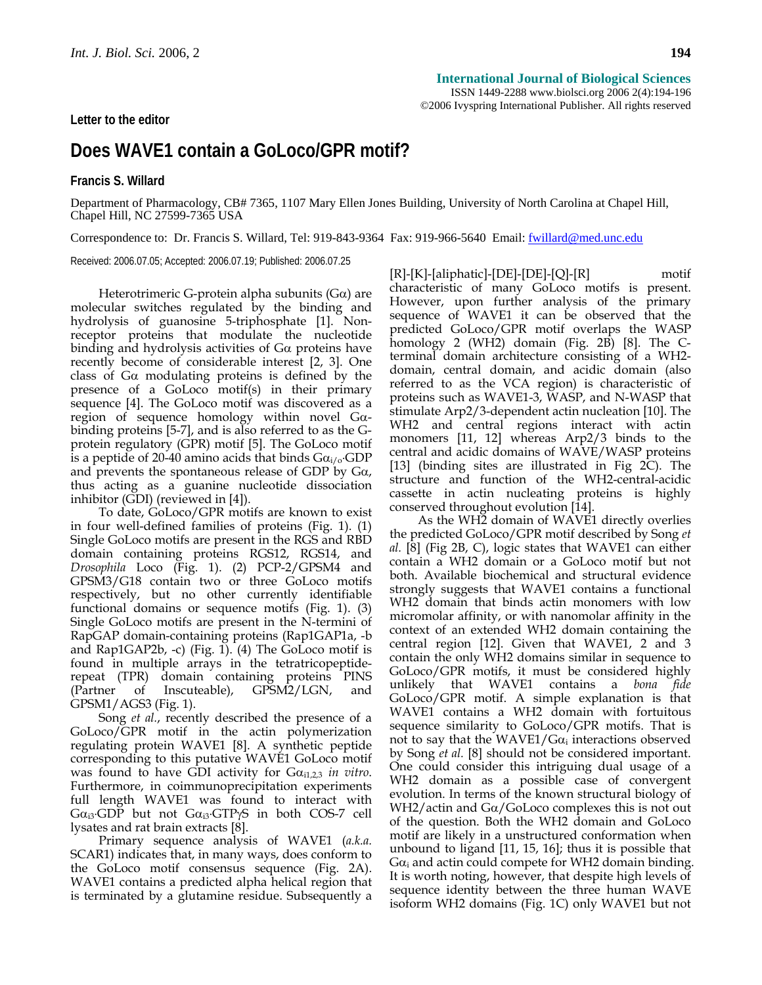**Letter to the editor** 

ISSN 1449-2288 www.biolsci.org 2006 2(4):194-196 ©2006 Ivyspring International Publisher. All rights reserved

# **Does WAVE1 contain a GoLoco/GPR motif?**

**Francis S. Willard** 

Department of Pharmacology, CB# 7365, 1107 Mary Ellen Jones Building, University of North Carolina at Chapel Hill, Chapel Hill, NC 27599-7365 USA

Correspondence to: Dr. Francis S. Willard, Tel: 919-843-9364 Fax: 919-966-5640 Email: fwillard@med.unc.edu

Received: 2006.07.05; Accepted: 2006.07.19; Published: 2006.07.25

Heterotrimeric G-protein alpha subunits ( $G\alpha$ ) are molecular switches regulated by the binding and hydrolysis of guanosine 5-triphosphate [1]. Nonreceptor proteins that modulate the nucleotide binding and hydrolysis activities of Gα proteins have recently become of considerable interest [2, 3]. One class of  $Ga$  modulating proteins is defined by the presence of a GoLoco motif(s) in their primary sequence [4]. The GoLoco motif was discovered as a region of sequence homology within novel Gαbinding proteins [5-7], and is also referred to as the Gprotein regulatory (GPR) motif [5]. The GoLoco motif is a peptide of 20-40 amino acids that binds  $Ga_{i/o}$ .GDP and prevents the spontaneous release of GDP by  $Ga$ , thus acting as a guanine nucleotide dissociation inhibitor (GDI) (reviewed in [4]).

To date, GoLoco/GPR motifs are known to exist in four well-defined families of proteins (Fig. 1). (1) Single GoLoco motifs are present in the RGS and RBD domain containing proteins RGS12, RGS14, and *Drosophila* Loco (Fig. 1). (2) PCP-2/GPSM4 and GPSM3/G18 contain two or three GoLoco motifs respectively, but no other currently identifiable functional domains or sequence motifs (Fig. 1). (3) Single GoLoco motifs are present in the N-termini of RapGAP domain-containing proteins (Rap1GAP1a, -b and Rap1GAP2b, -c) (Fig. 1). (4) The GoLoco motif is found in multiple arrays in the tetratricopeptiderepeat (TPR) domain containing proteins PINS (Partner of Inscuteable), GPSM2/LGN, and GPSM1/AGS3 (Fig. 1).

Song *et al.*, recently described the presence of a GoLoco/GPR motif in the actin polymerization regulating protein WAVE1 [8]. A synthetic peptide corresponding to this putative WAVE1 GoLoco motif was found to have GDI activity for  $Ga<sub>i1,2,3</sub>$  *in vitro*. Furthermore, in coimmunoprecipitation experiments full length WAVE1 was found to interact with  $Ga_{i3}$ ·GDP but not  $Ga_{i3}$ ·GTP $\gamma$ S in both COS-7 cell lysates and rat brain extracts [8].

Primary sequence analysis of WAVE1 (*a.k.a.*  SCAR1) indicates that, in many ways, does conform to the GoLoco motif consensus sequence (Fig. 2A). WAVE1 contains a predicted alpha helical region that is terminated by a glutamine residue. Subsequently a [R]-[K]-[aliphatic]-[DE]-[DE]-[Q]-[R] motif characteristic of many GoLoco motifs is present. However, upon further analysis of the primary sequence of WAVE1 it can be observed that the predicted GoLoco/GPR motif overlaps the WASP homology 2 (WH2) domain (Fig. 2B) [8]. The Cterminal domain architecture consisting of a WH2 domain, central domain, and acidic domain (also referred to as the VCA region) is characteristic of proteins such as WAVE1-3, WASP, and N-WASP that stimulate Arp2/3-dependent actin nucleation [10]. The WH2 and central regions interact with actin monomers [11, 12] whereas Arp2/3 binds to the central and acidic domains of WAVE/WASP proteins [13] (binding sites are illustrated in Fig 2C). The structure and function of the WH2-central-acidic cassette in actin nucleating proteins is highly conserved throughout evolution [14].

As the WH2 domain of WAVE1 directly overlies the predicted GoLoco/GPR motif described by Song *et al.* [8] (Fig 2B, C), logic states that WAVE1 can either contain a WH2 domain or a GoLoco motif but not both. Available biochemical and structural evidence strongly suggests that WAVE1 contains a functional WH2 domain that binds actin monomers with low micromolar affinity, or with nanomolar affinity in the context of an extended WH2 domain containing the central region [12]. Given that WAVE1, 2 and 3 contain the only WH2 domains similar in sequence to GoLoco/GPR motifs, it must be considered highly unlikely that WAVE1 contains a *bona fide* GoLoco/GPR motif. A simple explanation is that WAVE1 contains a WH2 domain with fortuitous sequence similarity to GoLoco/GPR motifs. That is not to say that the  $WAVE1/G\alpha_i$  interactions observed by Song *et al.* [8] should not be considered important. One could consider this intriguing dual usage of a WH2 domain as a possible case of convergent evolution. In terms of the known structural biology of WH2/actin and Gα/GoLoco complexes this is not out of the question. Both the WH2 domain and GoLoco motif are likely in a unstructured conformation when unbound to ligand [11, 15, 16]; thus it is possible that  $Ga<sub>i</sub>$  and actin could compete for WH2 domain binding. It is worth noting, however, that despite high levels of sequence identity between the three human WAVE isoform WH2 domains (Fig. 1C) only WAVE1 but not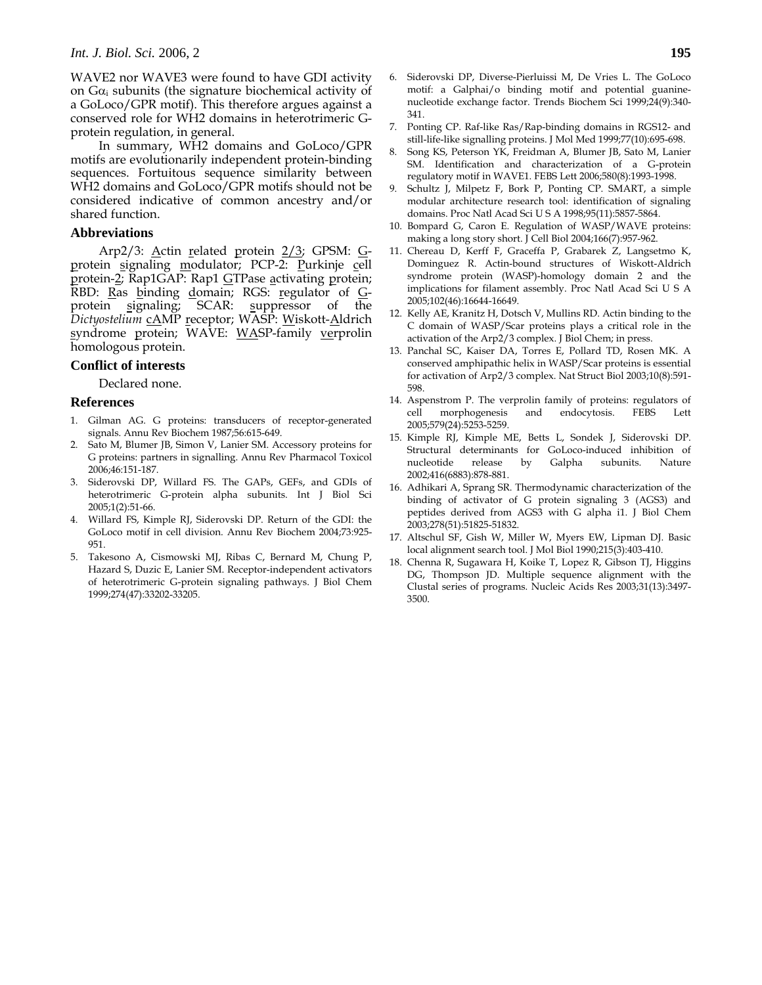WAVE2 nor WAVE3 were found to have GDI activity on  $Ga<sub>i</sub>$  subunits (the signature biochemical activity of a GoLoco/GPR motif). This therefore argues against a conserved role for WH2 domains in heterotrimeric Gprotein regulation, in general.

In summary, WH2 domains and GoLoco/GPR motifs are evolutionarily independent protein-binding sequences. Fortuitous sequence similarity between WH2 domains and GoLoco/GPR motifs should not be considered indicative of common ancestry and/or shared function.

## **Abbreviations**

Arp2/3: Actin related protein 2/3; GPSM: Gprotein signaling modulator; PCP-2: Purkinje cell protein-2; Rap1GAP: Rap1 GTPase activating protein; RBD: Ras binding domain; RGS: regulator of Gprotein signaling; SCAR: suppressor of the *Dictyostelium* cAMP receptor; WASP: Wiskott-Aldrich syndrome protein; WAVE: WASP-family verprolin homologous protein.

### **Conflict of interests**

Declared none.

#### **References**

- 1. Gilman AG. G proteins: transducers of receptor-generated signals. Annu Rev Biochem 1987;56:615-649.
- Sato M, Blumer JB, Simon V, Lanier SM. Accessory proteins for G proteins: partners in signalling. Annu Rev Pharmacol Toxicol 2006;46:151-187.
- 3. Siderovski DP, Willard FS. The GAPs, GEFs, and GDIs of heterotrimeric G-protein alpha subunits. Int J Biol Sci 2005;1(2):51-66.
- 4. Willard FS, Kimple RJ, Siderovski DP. Return of the GDI: the GoLoco motif in cell division. Annu Rev Biochem 2004;73:925- 951.
- 5. Takesono A, Cismowski MJ, Ribas C, Bernard M, Chung P, Hazard S, Duzic E, Lanier SM. Receptor-independent activators of heterotrimeric G-protein signaling pathways. J Biol Chem 1999;274(47):33202-33205.
- 6. Siderovski DP, Diverse-Pierluissi M, De Vries L. The GoLoco motif: a Galphai/o binding motif and potential guaninenucleotide exchange factor. Trends Biochem Sci 1999;24(9):340- 341.
- 7. Ponting CP. Raf-like Ras/Rap-binding domains in RGS12- and still-life-like signalling proteins. J Mol Med 1999;77(10):695-698.
- 8. Song KS, Peterson YK, Freidman A, Blumer JB, Sato M, Lanier SM. Identification and characterization of a G-protein regulatory motif in WAVE1. FEBS Lett 2006;580(8):1993-1998.
- 9. Schultz J, Milpetz F, Bork P, Ponting CP. SMART, a simple modular architecture research tool: identification of signaling domains. Proc Natl Acad Sci U S A 1998;95(11):5857-5864.
- 10. Bompard G, Caron E. Regulation of WASP/WAVE proteins: making a long story short. J Cell Biol 2004;166(7):957-962.
- 11. Chereau D, Kerff F, Graceffa P, Grabarek Z, Langsetmo K, Dominguez R. Actin-bound structures of Wiskott-Aldrich syndrome protein (WASP)-homology domain 2 and the implications for filament assembly. Proc Natl Acad Sci U S A 2005;102(46):16644-16649.
- 12. Kelly AE, Kranitz H, Dotsch V, Mullins RD. Actin binding to the C domain of WASP/Scar proteins plays a critical role in the activation of the Arp2/3 complex. J Biol Chem; in press.
- 13. Panchal SC, Kaiser DA, Torres E, Pollard TD, Rosen MK. A conserved amphipathic helix in WASP/Scar proteins is essential for activation of Arp2/3 complex. Nat Struct Biol 2003;10(8):591- 598.
- 14. Aspenstrom P. The verprolin family of proteins: regulators of cell morphogenesis and endocytosis. FEBS Lett 2005;579(24):5253-5259.
- 15. Kimple RJ, Kimple ME, Betts L, Sondek J, Siderovski DP. Structural determinants for GoLoco-induced inhibition of nucleotide release by Galpha subunits. Nature 2002;416(6883):878-881.
- 16. Adhikari A, Sprang SR. Thermodynamic characterization of the binding of activator of G protein signaling 3 (AGS3) and peptides derived from AGS3 with G alpha i1. J Biol Chem 2003;278(51):51825-51832.
- 17. Altschul SF, Gish W, Miller W, Myers EW, Lipman DJ. Basic local alignment search tool. J Mol Biol 1990;215(3):403-410.
- 18. Chenna R, Sugawara H, Koike T, Lopez R, Gibson TJ, Higgins DG, Thompson JD. Multiple sequence alignment with the Clustal series of programs. Nucleic Acids Res 2003;31(13):3497- 3500.